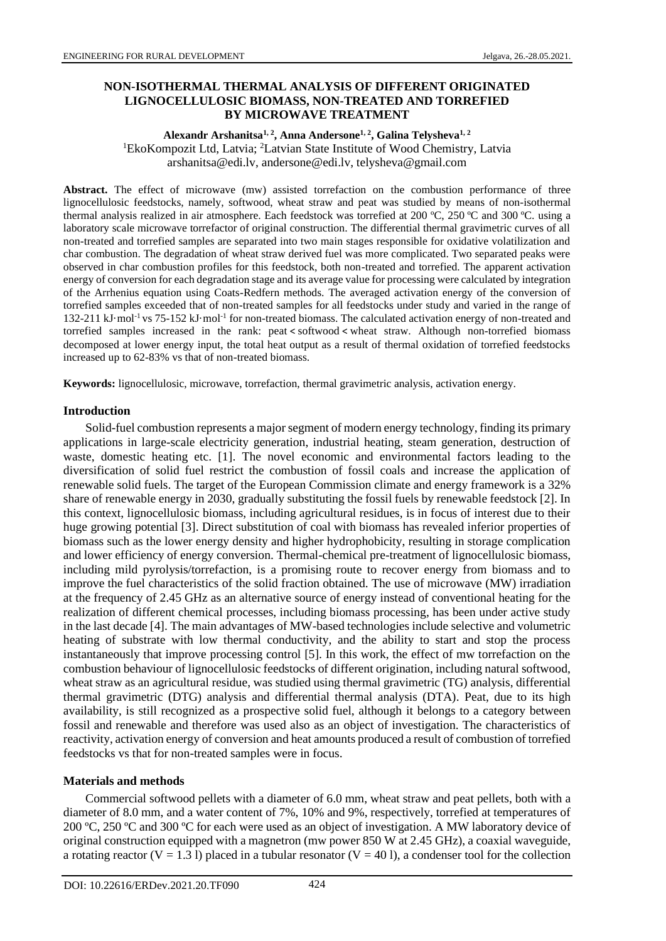## **NON-ISOTHERMAL THERMAL ANALYSIS OF DIFFERENT ORIGINATED LIGNOCELLULOSIC BIOMASS, NON-TREATED AND TORREFIED BY MICROWAVE TREATMENT**

### **Alexandr Arshanitsa1, 2, Anna Andersone1, 2, Galina Telysheva1, 2** <sup>1</sup>EkoKompozit Ltd, Latvia; <sup>2</sup>Latvian State Institute of Wood Chemistry, Latvia arshanitsa@edi.lv, andersone@edi.lv, telysheva@gmail.com

**Abstract.** The effect of microwave (mw) assisted torrefaction on the combustion performance of three lignocellulosic feedstocks, namely, softwood, wheat straw and peat was studied by means of non-isothermal thermal analysis realized in air atmosphere. Each feedstock was torrefied at 200 ºC, 250 ºC and 300 ºC. using a laboratory scale microwave torrefactor of original construction. The differential thermal gravimetric curves of all non-treated and torrefied samples are separated into two main stages responsible for oxidative volatilization and char combustion. The degradation of wheat straw derived fuel was more complicated. Two separated peaks were observed in char combustion profiles for this feedstock, both non-treated and torrefied. The apparent activation energy of conversion for each degradation stage and its average value for processing were calculated by integration of the Arrhenius equation using Coats-Redfern methods. The averaged activation energy of the conversion of torrefied samples exceeded that of non-treated samples for all feedstocks under study and varied in the range of 132-211 kJ·mol<sup>-1</sup> vs 75-152 kJ·mol<sup>-1</sup> for non-treated biomass. The calculated activation energy of non-treated and torrefied samples increased in the rank: peat < softwood < wheat straw. Although non-torrefied biomass decomposed at lower energy input, the total heat output as a result of thermal oxidation of torrefied feedstocks increased up to 62-83% vs that of non-treated biomass.

**Keywords:** lignocellulosic, microwave, torrefaction, thermal gravimetric analysis, activation energy.

#### **Introduction**

Solid-fuel combustion represents a major segment of modern energy technology, finding its primary applications in large-scale electricity generation, industrial heating, steam generation, destruction of waste, domestic heating etc. [1]. The novel economic and environmental factors leading to the diversification of solid fuel restrict the combustion of fossil coals and increase the application of renewable solid fuels. The target of the European Commission climate and energy framework is a 32% share of renewable energy in 2030, gradually substituting the fossil fuels by renewable feedstock [2]. In this context, lignocellulosic biomass, including agricultural residues, is in focus of interest due to their huge growing potential [3]. Direct substitution of coal with biomass has revealed inferior properties of biomass such as the lower energy density and higher hydrophobicity, resulting in storage complication and lower efficiency of energy conversion. Thermal-chemical pre-treatment of lignocellulosic biomass, including mild pyrolysis/torrefaction, is a promising route to recover energy from biomass and to improve the fuel characteristics of the solid fraction obtained. The use of microwave (MW) irradiation at the frequency of 2.45 GHz as an alternative source of energy instead of conventional heating for the realization of different chemical processes, including biomass processing, has been under active study in the last decade [4]. The main advantages of MW-based technologies include selective and volumetric heating of substrate with low thermal conductivity, and the ability to start and stop the process instantaneously that improve processing control [5]. In this work, the effect of mw torrefaction on the combustion behaviour of lignocellulosic feedstocks of different origination, including natural softwood, wheat straw as an agricultural residue, was studied using thermal gravimetric (TG) analysis, differential thermal gravimetric (DTG) analysis and differential thermal analysis (DTA). Peat, due to its high availability, is still recognized as a prospective solid fuel, although it belongs to a category between fossil and renewable and therefore was used also as an object of investigation. The characteristics of reactivity, activation energy of conversion and heat amounts produced a result of combustion of torrefied feedstocks vs that for non-treated samples were in focus.

## **Materials and methods**

Commercial softwood pellets with a diameter of 6.0 mm, wheat straw and peat pellets, both with a diameter of 8.0 mm, and a water content of 7%, 10% and 9%, respectively, torrefied at temperatures of 200 ºC, 250 ºC and 300 ºC for each were used as an object of investigation. A MW laboratory device of original construction equipped with a magnetron (mw power 850 W at 2.45 GHz), a coaxial waveguide, a rotating reactor (V = 1.3 l) placed in a tubular resonator (V = 40 l), a condenser tool for the collection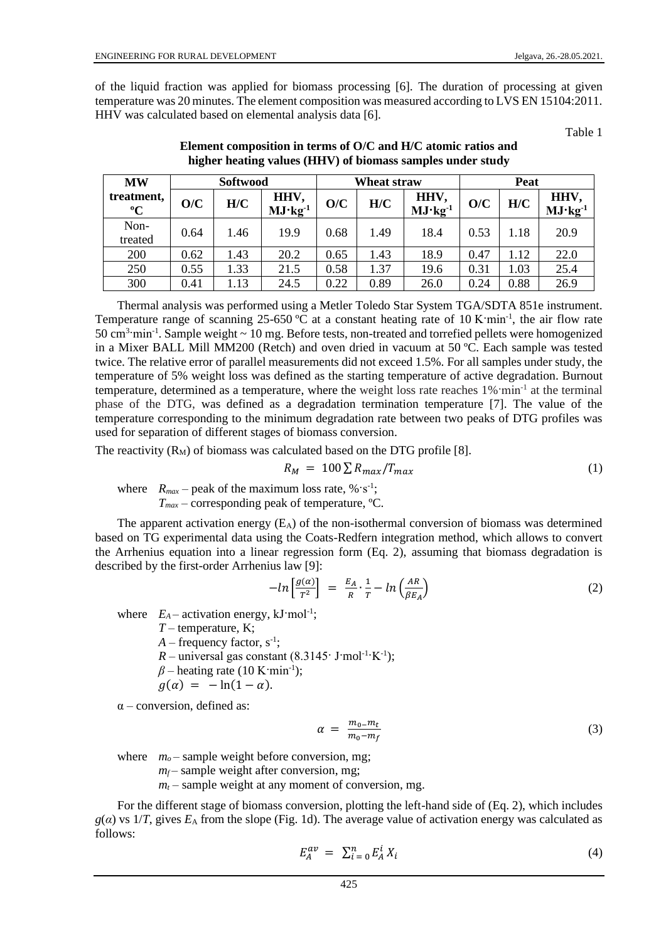of the liquid fraction was applied for biomass processing [6]. The duration of processing at given temperature was 20 minutes. The element composition was measured according to LVS EN 15104:2011. HHV was calculated based on elemental analysis data [6].

Table 1

| <b>MW</b>                 | Softwood |      |                   | Wheat straw |      |                   | Peat |      |                   |
|---------------------------|----------|------|-------------------|-------------|------|-------------------|------|------|-------------------|
| treatment,<br>$\rm ^{o}C$ | O/C      | H/C  | HHV,<br>$MJ·kg-1$ | O/C         | H/C  | HHV,<br>$MJ·kg-1$ | O/C  | H/C  | HHV,<br>$MJ·kg-1$ |
| Non-<br>treated           | 0.64     | 1.46 | 19.9              | 0.68        | 1.49 | 18.4              | 0.53 | 1.18 | 20.9              |
| 200                       | 0.62     | 1.43 | 20.2              | 0.65        | 1.43 | 18.9              | 0.47 | .12  | 22.0              |
| 250                       | 0.55     | 1.33 | 21.5              | 0.58        | 1.37 | 19.6              | 0.31 | 1.03 | 25.4              |
| 300                       | 0.41     | 1.13 | 24.5              | 0.22        | 0.89 | 26.0              | 0.24 | 0.88 | 26.9              |

**Element composition in terms of O/C and H/C atomic ratios and higher heating values (HHV) of biomass samples under study**

Thermal analysis was performed using a Metler Toledo Star System TGA/SDTA 851e instrument. Temperature range of scanning 25-650 °C at a constant heating rate of 10 K·min<sup>-1</sup>, the air flow rate 50 cm<sup>3</sup>·min<sup>-1</sup>. Sample weight ~ 10 mg. Before tests, non-treated and torrefied pellets were homogenized in a Mixer BALL Mill MM200 (Retch) and oven dried in vacuum at 50 ºC. Each sample was tested twice. The relative error of parallel measurements did not exceed 1.5%. For all samples under study, the temperature of 5% weight loss was defined as the starting temperature of active degradation. Burnout temperature, determined as a temperature, where the weight loss rate reaches 1% min<sup>-1</sup> at the terminal phase of the DTG, was defined as a degradation termination temperature [7]. The value of the temperature corresponding to the minimum degradation rate between two peaks of DTG profiles was used for separation of different stages of biomass conversion.

The reactivity  $(R_M)$  of biomass was calculated based on the DTG profile [8].

$$
R_M = 100 \sum R_{max} / T_{max} \tag{1}
$$

where  $R_{max}$  – peak of the maximum loss rate, %  $s^{-1}$ ; *Tmax* – corresponding peak of temperature, ºC.

The apparent activation energy  $(E_A)$  of the non-isothermal conversion of biomass was determined based on TG experimental data using the Coats-Redfern integration method, which allows to convert the Arrhenius equation into a linear regression form (Eq. 2), assuming that biomass degradation is described by the first-order Arrhenius law [9]:

$$
-\ln\left[\frac{g(\alpha)}{T^2}\right] = \frac{E_A}{R} \cdot \frac{1}{T} - \ln\left(\frac{AR}{\beta E_A}\right) \tag{2}
$$

where  $E_A$  – activation energy,  $kJ$  mol<sup>-1</sup>;

*T* – temperature, K;  $A$  – frequency factor,  $s^{-1}$ ;  $R$  – universal gas constant  $(8.3145 \cdot J \cdot mol^{-1} \cdot K^{-1})$ ; *β* – heating rate (10 K·min<sup>-1</sup>);  $g(\alpha) = -\ln(1-\alpha)$ .

 $\alpha$  – conversion, defined as:

$$
\alpha = \frac{m_0 - m_t}{m_0 - m_f} \tag{3}
$$

where  $m<sub>o</sub>$  – sample weight before conversion, mg;

 $m_f$  – sample weight after conversion, mg;

 $m_t$  – sample weight at any moment of conversion, mg.

For the different stage of biomass conversion, plotting the left-hand side of (Eq. 2), which includes  $g(a)$  vs  $1/T$ , gives  $E_A$  from the slope (Fig. 1d). The average value of activation energy was calculated as follows:

$$
E_A^{av} = \sum_{i=0}^n E_A^i X_i \tag{4}
$$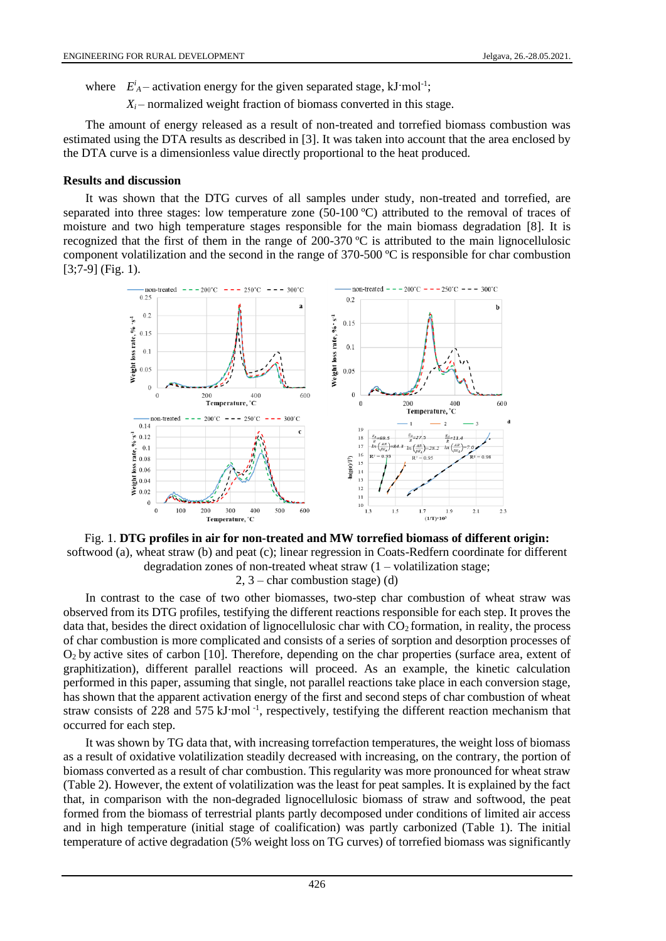where  $E_A^i$  – activation energy for the given separated stage, kJ·mol<sup>-1</sup>;

 $X_i$  – normalized weight fraction of biomass converted in this stage.

The amount of energy released as a result of non-treated and torrefied biomass combustion was estimated using the DTA results as described in [3]. It was taken into account that the area enclosed by the DTA curve is a dimensionless value directly proportional to the heat produced.

#### **Results and discussion**

It was shown that the DTG curves of all samples under study, non-treated and torrefied, are separated into three stages: low temperature zone (50-100 °C) attributed to the removal of traces of moisture and two high temperature stages responsible for the main biomass degradation [8]. It is recognized that the first of them in the range of 200-370 ºC is attributed to the main lignocellulosic component volatilization and the second in the range of 370-500 ºC is responsible for char combustion  $[3:7-9]$  (Fig. 1).



Fig. 1. **DTG profiles in air for non-treated and MW torrefied biomass of different origin:**  softwood (a), wheat straw (b) and peat (c); linear regression in Coats-Redfern coordinate for different degradation zones of non-treated wheat straw  $(1 -$ volatilization stage; 2, 3 – char combustion stage) (d)

In contrast to the case of two other biomasses, two-step char combustion of wheat straw was observed from its DTG profiles, testifying the different reactions responsible for each step. It proves the data that, besides the direct oxidation of lignocellulosic char with  $CO<sub>2</sub>$  formation, in reality, the process of char combustion is more complicated and consists of a series of sorption and desorption processes of O2 by active sites of carbon [10]. Therefore, depending on the char properties (surface area, extent of graphitization), different parallel reactions will proceed. As an example, the kinetic calculation performed in this paper, assuming that single, not parallel reactions take place in each conversion stage, has shown that the apparent activation energy of the first and second steps of char combustion of wheat straw consists of 228 and 575 kJ·mol<sup>-1</sup>, respectively, testifying the different reaction mechanism that occurred for each step.

It was shown by TG data that, with increasing torrefaction temperatures, the weight loss of biomass as a result of oxidative volatilization steadily decreased with increasing, on the contrary, the portion of biomass converted as a result of char combustion. This regularity was more pronounced for wheat straw (Table 2). However, the extent of volatilization was the least for peat samples. It is explained by the fact that, in comparison with the non-degraded lignocellulosic biomass of straw and softwood, the peat formed from the biomass of terrestrial plants partly decomposed under conditions of limited air access and in high temperature (initial stage of coalification) was partly carbonized (Table 1). The initial temperature of active degradation (5% weight loss on TG curves) of torrefied biomass was significantly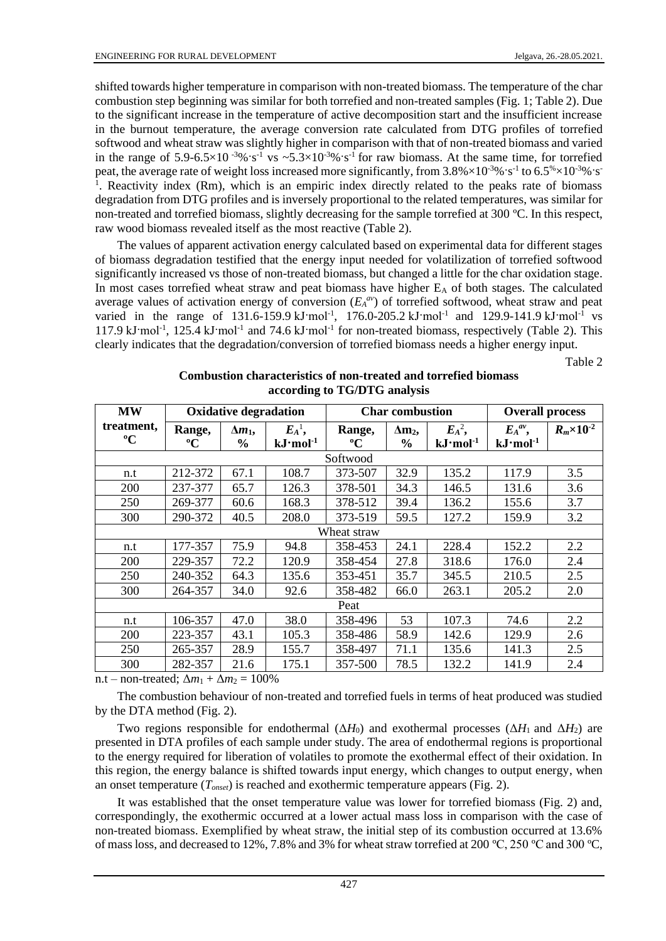shifted towards higher temperature in comparison with non-treated biomass. The temperature of the char combustion step beginning was similar for both torrefied and non-treated samples (Fig. 1; Table 2). Due to the significant increase in the temperature of active decomposition start and the insufficient increase in the burnout temperature, the average conversion rate calculated from DTG profiles of torrefied softwood and wheat straw was slightly higher in comparison with that of non-treated biomass and varied in the range of 5.9-6.5×10<sup>-3</sup>%·s<sup>-1</sup> vs ~5.3×10<sup>-3</sup>%·s<sup>-1</sup> for raw biomass. At the same time, for torrefied peat, the average rate of weight loss increased more significantly, from  $3.8\% \times 10^{-3}\%$  s<sup>-1</sup> to  $6.5\% \times 10^{-3}\%$  s<sup>-1</sup> <sup>1</sup>. Reactivity index (Rm), which is an empiric index directly related to the peaks rate of biomass degradation from DTG profiles and is inversely proportional to the related temperatures, was similar for non-treated and torrefied biomass, slightly decreasing for the sample torrefied at 300 ºC. In this respect, raw wood biomass revealed itself as the most reactive (Table 2).

The values of apparent activation energy calculated based on experimental data for different stages of biomass degradation testified that the energy input needed for volatilization of torrefied softwood significantly increased vs those of non-treated biomass, but changed a little for the char oxidation stage. In most cases torrefied wheat straw and peat biomass have higher  $E_A$  of both stages. The calculated average values of activation energy of conversion  $(E_A^{a\nu})$  of torrefied softwood, wheat straw and peat varied in the range of 131.6-159.9 kJ·mol<sup>-1</sup>, 176.0-205.2 kJ·mol<sup>-1</sup> and 129.9-141.9 kJ·mol<sup>-1</sup> vs 117.9 kJ·mol<sup>-1</sup>, 125.4 kJ·mol<sup>-1</sup> and 74.6 kJ·mol<sup>-1</sup> for non-treated biomass, respectively (Table 2). This clearly indicates that the degradation/conversion of torrefied biomass needs a higher energy input.

Table 2

| <b>MW</b>                 |                       | <b>Oxidative degradation</b>    |                                         |                       | <b>Char combustion</b>          | <b>Overall process</b>               |                                         |                      |  |  |
|---------------------------|-----------------------|---------------------------------|-----------------------------------------|-----------------------|---------------------------------|--------------------------------------|-----------------------------------------|----------------------|--|--|
| treatment,<br>$\rm ^{o}C$ | Range,<br>$\rm ^{o}C$ | $\Delta m_1$ ,<br>$\frac{0}{0}$ | $E_A^{-1}$ ,<br>$kJ$ ·mol <sup>-1</sup> | Range,<br>$\rm ^{o}C$ | $\Delta m_2$ ,<br>$\frac{6}{6}$ | $E_A^2$ ,<br>$kJ$ ·mol <sup>-1</sup> | $E_A^{av}$ ,<br>$kJ$ ·mol <sup>-1</sup> | $R_m \times 10^{-2}$ |  |  |
| Softwood                  |                       |                                 |                                         |                       |                                 |                                      |                                         |                      |  |  |
| n.t                       | 212-372               | 67.1                            | 108.7                                   | 373-507               | 32.9                            | 135.2                                | 117.9                                   | 3.5                  |  |  |
| 200                       | 237-377               | 65.7                            | 126.3                                   | 378-501               | 34.3                            | 146.5                                | 131.6                                   | 3.6                  |  |  |
| 250                       | 269-377               | 60.6                            | 168.3                                   | 378-512               | 39.4                            | 136.2                                | 155.6                                   | 3.7                  |  |  |
| 300                       | 290-372               | 40.5                            | 208.0                                   | 373-519               | 59.5                            | 127.2                                | 159.9                                   | 3.2                  |  |  |
| Wheat straw               |                       |                                 |                                         |                       |                                 |                                      |                                         |                      |  |  |
| n.t                       | 177-357               | 75.9                            | 94.8                                    | 358-453               | 24.1                            | 228.4                                | 152.2                                   | 2.2                  |  |  |
| 200                       | 229-357               | 72.2                            | 120.9                                   | 358-454               | 27.8                            | 318.6                                | 176.0                                   | 2.4                  |  |  |
| 250                       | 240-352               | 64.3                            | 135.6                                   | 353-451               | 35.7                            | 345.5                                | 210.5                                   | 2.5                  |  |  |
| 300                       | 264-357               | 34.0                            | 92.6                                    | 358-482               | 66.0                            | 263.1                                | 205.2                                   | 2.0                  |  |  |
| Peat                      |                       |                                 |                                         |                       |                                 |                                      |                                         |                      |  |  |
| n.t                       | 106-357               | 47.0                            | 38.0                                    | 358-496               | 53                              | 107.3                                | 74.6                                    | 2.2                  |  |  |
| <b>200</b>                | 223-357               | 43.1                            | 105.3                                   | 358-486               | 58.9                            | 142.6                                | 129.9                                   | 2.6                  |  |  |
| 250                       | 265-357               | 28.9                            | 155.7                                   | 358-497               | 71.1                            | 135.6                                | 141.3                                   | 2.5                  |  |  |
| 300                       | 282-357               | 21.6                            | 175.1                                   | 357-500               | 78.5                            | 132.2                                | 141.9                                   | 2.4                  |  |  |

### **Combustion characteristics of non-treated and torrefied biomass according to TG/DTG analysis**

n.t – non-treated;  $\Delta m_1 + \Delta m_2 = 100\%$ 

The combustion behaviour of non-treated and torrefied fuels in terms of heat produced was studied by the DTA method (Fig. 2).

Two regions responsible for endothermal  $(\Delta H_0)$  and exothermal processes  $(\Delta H_1$  and  $\Delta H_2)$  are presented in DTA profiles of each sample under study. The area of endothermal regions is proportional to the energy required for liberation of volatiles to promote the exothermal effect of their oxidation. In this region, the energy balance is shifted towards input energy, which changes to output energy, when an onset temperature (*Tonset*) is reached and exothermic temperature appears (Fig. 2).

It was established that the onset temperature value was lower for torrefied biomass (Fig. 2) and, correspondingly, the exothermic occurred at a lower actual mass loss in comparison with the case of non-treated biomass. Exemplified by wheat straw, the initial step of its combustion occurred at 13.6% of mass loss, and decreased to 12%, 7.8% and 3% for wheat straw torrefied at 200 ºС, 250 ºС and 300 ºC,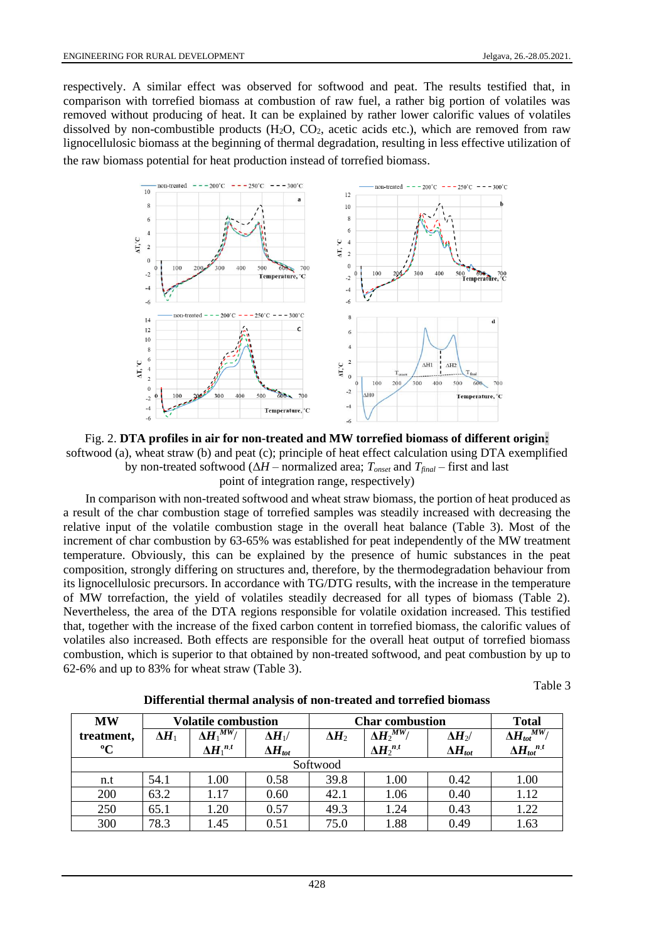respectively. A similar effect was observed for softwood and peat. The results testified that, in comparison with torrefied biomass at combustion of raw fuel, a rather big portion of volatiles was removed without producing of heat. It can be explained by rather lower calorific values of volatiles dissolved by non-combustible products (H<sub>2</sub>O, CO<sub>2</sub>, acetic acids etc.), which are removed from raw lignocellulosic biomass at the beginning of thermal degradation, resulting in less effective utilization of the raw biomass potential for heat production instead of torrefied biomass.



Fig. 2. **DTA profiles in air for non-treated and MW torrefied biomass of different origin:** softwood (a), wheat straw (b) and peat (c); principle of heat effect calculation using DTA exemplified by non-treated softwood (Δ*H* – normalized area; *Tonset* and *Tfinal* – first and last point of integration range, respectively)

In comparison with non-treated softwood and wheat straw biomass, the portion of heat produced as a result of the char combustion stage of torrefied samples was steadily increased with decreasing the relative input of the volatile combustion stage in the overall heat balance (Table 3). Most of the increment of char combustion by 63-65% was established for peat independently of the MW treatment temperature. Obviously, this can be explained by the presence of humic substances in the peat composition, strongly differing on structures and, therefore, by the thermodegradation behaviour from its lignocellulosic precursors. In accordance with TG/DTG results, with the increase in the temperature of MW torrefaction, the yield of volatiles steadily decreased for all types of biomass (Table 2). Nevertheless, the area of the DTA regions responsible for volatile oxidation increased. This testified that, together with the increase of the fixed carbon content in torrefied biomass, the calorific values of volatiles also increased. Both effects are responsible for the overall heat output of torrefied biomass combustion, which is superior to that obtained by non-treated softwood, and peat combustion by up to 62-6% and up to 83% for wheat straw (Table 3).

Table 3

| <b>MW</b>   | <b>Volatile combustion</b> |                     |                  | <b>Char combustion</b> | <b>Total</b>             |                  |                                  |  |  |
|-------------|----------------------------|---------------------|------------------|------------------------|--------------------------|------------------|----------------------------------|--|--|
| treatment,  | $\Delta H_1$               | MW/<br>$\Delta H_1$ | $\Delta H_{1}$ / | $\Delta H_2$           | $\Delta \bm{H}_2{}^{MW}$ | $\Delta H_2$ /   | $\overline{\Delta H_{tot}}^{MW}$ |  |  |
| $\rm ^{o}C$ |                            | $\Delta H_1^{n,t}$  | $\Delta H_{tot}$ |                        | $\Delta H_2^{n,t}$       | $\Delta H_{tot}$ | $\Delta H_{tot}{}^{n.t}$         |  |  |
| Softwood    |                            |                     |                  |                        |                          |                  |                                  |  |  |
| n.t         | 54.1                       | 1.00                | 0.58             | 39.8                   | 1.00                     | 0.42             | 1.00                             |  |  |
| 200         | 63.2                       | 1.17                | 0.60             | 42.1                   | 1.06                     | 0.40             | 1.12                             |  |  |
| 250         | 65.1                       | 1.20                | 0.57             | 49.3                   | 1.24                     | 0.43             | 1.22                             |  |  |
| 300         | 78.3                       | 1.45                | 0.51             | 75.0                   | 1.88                     | 0.49             | 1.63                             |  |  |

**Differential thermal analysis of non-treated and torrefied biomass**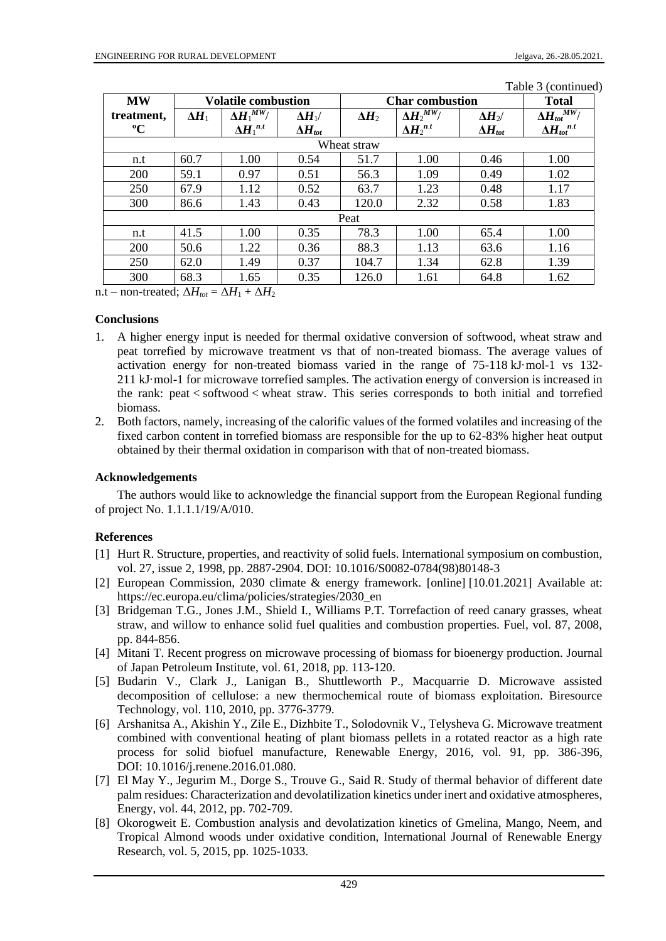| <b>MW</b>   | <b>Volatile combustion</b> |                         |                  | <b>Char combustion</b> | <b>Total</b>       |                  |                                     |  |  |
|-------------|----------------------------|-------------------------|------------------|------------------------|--------------------|------------------|-------------------------------------|--|--|
| treatment,  | $\Delta H_1$               | $\Delta \! H_1{}^{MW}/$ | $\Delta H_{1}/$  | $\Delta H_2$           | $\Delta H_2^{MW}$  | $\Delta H_2$ /   | $\Delta H_{tot}{}^{\overline{MW}}/$ |  |  |
| $\rm ^{o}C$ |                            | $\Delta H_1^{n,t}$      | $\Delta H_{tot}$ |                        | $\Delta H_2^{n,t}$ | $\Delta H_{tot}$ | $\Delta H_{tot}^{n,t}$              |  |  |
| Wheat straw |                            |                         |                  |                        |                    |                  |                                     |  |  |
| n.t         | 60.7                       | 1.00                    | 0.54             | 51.7                   | 1.00               | 0.46             | 1.00                                |  |  |
| 200         | 59.1                       | 0.97                    | 0.51             | 56.3                   | 1.09               | 0.49             | 1.02                                |  |  |
| 250         | 67.9                       | 1.12                    | 0.52             | 63.7                   | 1.23               | 0.48             | 1.17                                |  |  |
| 300         | 86.6                       | 1.43                    | 0.43             | 120.0                  | 2.32               | 0.58             | 1.83                                |  |  |
| Peat        |                            |                         |                  |                        |                    |                  |                                     |  |  |
| n.t         | 41.5                       | 1.00                    | 0.35             | 78.3                   | 1.00               | 65.4             | 1.00                                |  |  |
| 200         | 50.6                       | 1.22                    | 0.36             | 88.3                   | 1.13               | 63.6             | 1.16                                |  |  |
| 250         | 62.0                       | 1.49                    | 0.37             | 104.7                  | 1.34               | 62.8             | 1.39                                |  |  |
| 300         | 68.3                       | 1.65                    | 0.35             | 126.0                  | 1.61               | 64.8             | 1.62                                |  |  |

Table 3 (continued)

n.t – non-treated;  $\Delta H_{tot} = \Delta H_1 + \Delta H_2$ 

## **Conclusions**

- 1. A higher energy input is needed for thermal oxidative conversion of softwood, wheat straw and peat torrefied by microwave treatment vs that of non-treated biomass. The average values of activation energy for non-treated biomass varied in the range of 75-118 kJ·mol-1 vs 132- 211 kJ·mol-1 for microwave torrefied samples. The activation energy of conversion is increased in the rank: peat < softwood < wheat straw. This series corresponds to both initial and torrefied biomass.
- 2. Both factors, namely, increasing of the calorific values of the formed volatiles and increasing of the fixed carbon content in torrefied biomass are responsible for the up to 62-83% higher heat output obtained by their thermal oxidation in comparison with that of non-treated biomass.

# **Acknowledgements**

The authors would like to acknowledge the financial support from the European Regional funding of project No. 1.1.1.1/19/A/010.

# **References**

- [1] Hurt R. Structure, properties, and reactivity of solid fuels. International symposium on combustion, vol. 27, issue 2, 1998, pp. 2887-2904. DOI: 10.1016/S0082-0784(98)80148-3
- [2] European Commission, 2030 climate & energy framework. [online] [10.01.2021] Available at: https://ec.europa.eu/clima/policies/strategies/2030\_en
- [3] Bridgeman T.G., Jones J.M., Shield I., Williams P.T. Torrefaction of reed canary grasses, wheat straw, and willow to enhance solid fuel qualities and combustion properties. Fuel, vol. 87, 2008, pp. 844-856.
- [4] Mitani T. Recent progress on microwave processing of biomass for bioenergy production. Journal of Japan Petroleum Institute, vol. 61, 2018, pp. 113-120.
- [5] Budarin V., Clark J., Lanigan B., Shuttleworth P., Macquarrie D. Microwave assisted decomposition of cellulose: a new thermochemical route of biomass exploitation. Biresource Technology, vol. 110, 2010, pp. 3776-3779.
- [6] Arshanitsa A., Akishin Y., Zile E., Dizhbite T., Solodovnik V., Telysheva G. Microwave treatment combined with conventional heating of plant biomass pellets in a rotated reactor as a high rate process for solid biofuel manufacture, Renewable Energy, 2016, vol. 91, pp. 386-396, DOI: 10.1016/j.renene.2016.01.080.
- [7] El May Y., Jegurim M., Dorge S., Trouve G., Said R. Study of thermal behavior of different date palm residues: Characterization and devolatilization kinetics under inert and oxidative atmospheres, Energy, vol. 44, 2012, pp. 702-709.
- [8] Okorogweit E. Combustion analysis and devolatization kinetics of Gmelina, Mango, Neem, and Tropical Almond woods under oxidative condition, International Journal of Renewable Energy Research, vol. 5, 2015, pp. 1025-1033.